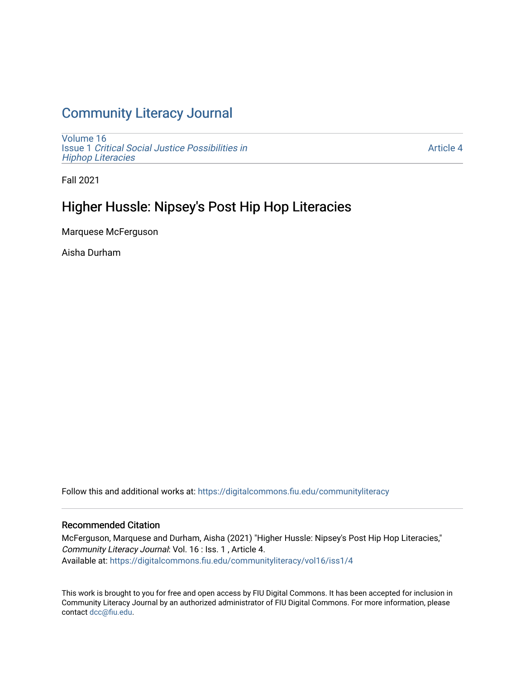# [Community Literacy Journal](https://digitalcommons.fiu.edu/communityliteracy)

[Volume 16](https://digitalcommons.fiu.edu/communityliteracy/vol16) Issue 1 [Critical Social Justice Possibilities in](https://digitalcommons.fiu.edu/communityliteracy/vol16/iss1) [Hiphop Literacies](https://digitalcommons.fiu.edu/communityliteracy/vol16/iss1)

[Article 4](https://digitalcommons.fiu.edu/communityliteracy/vol16/iss1/4) 

Fall 2021

### Higher Hussle: Nipsey's Post Hip Hop Literacies

Marquese McFerguson

Aisha Durham

Follow this and additional works at: [https://digitalcommons.fiu.edu/communityliteracy](https://digitalcommons.fiu.edu/communityliteracy?utm_source=digitalcommons.fiu.edu%2Fcommunityliteracy%2Fvol16%2Fiss1%2F4&utm_medium=PDF&utm_campaign=PDFCoverPages)

#### Recommended Citation

McFerguson, Marquese and Durham, Aisha (2021) "Higher Hussle: Nipsey's Post Hip Hop Literacies," Community Literacy Journal: Vol. 16 : Iss. 1 , Article 4. Available at: [https://digitalcommons.fiu.edu/communityliteracy/vol16/iss1/4](https://digitalcommons.fiu.edu/communityliteracy/vol16/iss1/4?utm_source=digitalcommons.fiu.edu%2Fcommunityliteracy%2Fvol16%2Fiss1%2F4&utm_medium=PDF&utm_campaign=PDFCoverPages) 

This work is brought to you for free and open access by FIU Digital Commons. It has been accepted for inclusion in Community Literacy Journal by an authorized administrator of FIU Digital Commons. For more information, please contact [dcc@fiu.edu](mailto:dcc@fiu.edu).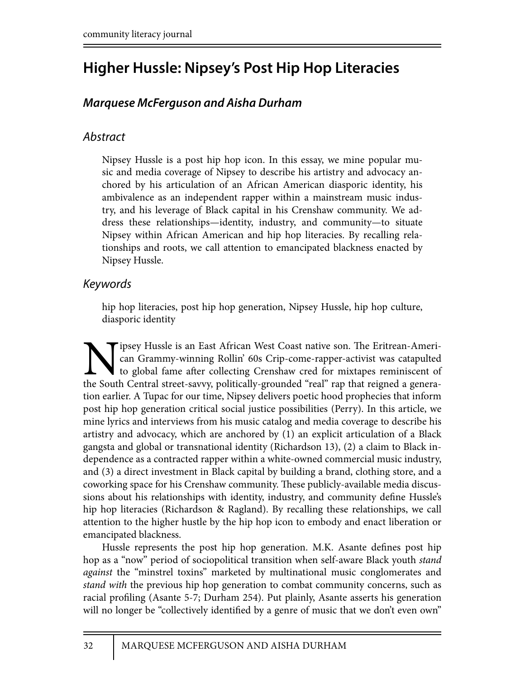# **Higher Hussle: Nipsey's Post Hip Hop Literacies**

# *Marquese McFerguson and Aisha Durham*

### *Abstract*

Nipsey Hussle is a post hip hop icon. In this essay, we mine popular music and media coverage of Nipsey to describe his artistry and advocacy anchored by his articulation of an African American diasporic identity, his ambivalence as an independent rapper within a mainstream music industry, and his leverage of Black capital in his Crenshaw community. We address these relationships—identity, industry, and community—to situate Nipsey within African American and hip hop literacies. By recalling relationships and roots, we call attention to emancipated blackness enacted by Nipsey Hussle.

#### *Keywords*

hip hop literacies, post hip hop generation, Nipsey Hussle, hip hop culture, diasporic identity

Tipsey Hussle is an East African West Coast native son. The Eritrean-American Grammy-winning Rollin' 60s Crip-come-rapper-activist was catapulted to global fame after collecting Crenshaw cred for mixtapes reminiscent of th can Grammy-winning Rollin' 60s Crip-come-rapper-activist was catapulted to global fame after collecting Crenshaw cred for mixtapes reminiscent of the South Central street-savvy, politically-grounded "real" rap that reigned a generation earlier. A Tupac for our time, Nipsey delivers poetic hood prophecies that inform post hip hop generation critical social justice possibilities (Perry). In this article, we mine lyrics and interviews from his music catalog and media coverage to describe his artistry and advocacy, which are anchored by (1) an explicit articulation of a Black gangsta and global or transnational identity (Richardson 13), (2) a claim to Black independence as a contracted rapper within a white-owned commercial music industry, and (3) a direct investment in Black capital by building a brand, clothing store, and a coworking space for his Crenshaw community. These publicly-available media discussions about his relationships with identity, industry, and community define Hussle's hip hop literacies (Richardson & Ragland). By recalling these relationships, we call attention to the higher hustle by the hip hop icon to embody and enact liberation or emancipated blackness.

Hussle represents the post hip hop generation. M.K. Asante defines post hip hop as a "now" period of sociopolitical transition when self-aware Black youth *stand against* the "minstrel toxins" marketed by multinational music conglomerates and *stand with* the previous hip hop generation to combat community concerns, such as racial profiling (Asante 5-7; Durham 254). Put plainly, Asante asserts his generation will no longer be "collectively identified by a genre of music that we don't even own"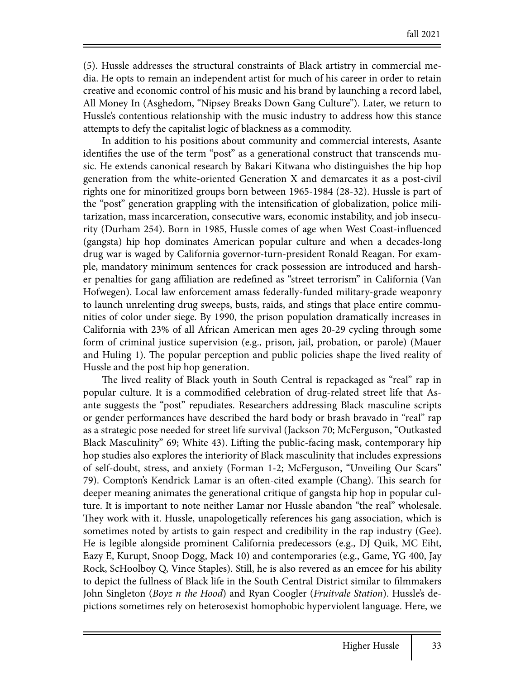(5). Hussle addresses the structural constraints of Black artistry in commercial media. He opts to remain an independent artist for much of his career in order to retain creative and economic control of his music and his brand by launching a record label, All Money In (Asghedom, "Nipsey Breaks Down Gang Culture"). Later, we return to Hussle's contentious relationship with the music industry to address how this stance attempts to defy the capitalist logic of blackness as a commodity.

In addition to his positions about community and commercial interests, Asante identifies the use of the term "post" as a generational construct that transcends music. He extends canonical research by Bakari Kitwana who distinguishes the hip hop generation from the white-oriented Generation X and demarcates it as a post-civil rights one for minoritized groups born between 1965-1984 (28-32). Hussle is part of the "post" generation grappling with the intensification of globalization, police militarization, mass incarceration, consecutive wars, economic instability, and job insecurity (Durham 254). Born in 1985, Hussle comes of age when West Coast-influenced (gangsta) hip hop dominates American popular culture and when a decades-long drug war is waged by California governor-turn-president Ronald Reagan. For example, mandatory minimum sentences for crack possession are introduced and harsher penalties for gang affiliation are redefined as "street terrorism" in California (Van Hofwegen). Local law enforcement amass federally-funded military-grade weaponry to launch unrelenting drug sweeps, busts, raids, and stings that place entire communities of color under siege. By 1990, the prison population dramatically increases in California with 23% of all African American men ages 20-29 cycling through some form of criminal justice supervision (e.g., prison, jail, probation, or parole) (Mauer and Huling 1). The popular perception and public policies shape the lived reality of Hussle and the post hip hop generation.

The lived reality of Black youth in South Central is repackaged as "real" rap in popular culture. It is a commodified celebration of drug-related street life that Asante suggests the "post" repudiates. Researchers addressing Black masculine scripts or gender performances have described the hard body or brash bravado in "real" rap as a strategic pose needed for street life survival (Jackson 70; McFerguson, "Outkasted Black Masculinity" 69; White 43). Lifting the public-facing mask, contemporary hip hop studies also explores the interiority of Black masculinity that includes expressions of self-doubt, stress, and anxiety (Forman 1-2; McFerguson, "Unveiling Our Scars" 79). Compton's Kendrick Lamar is an often-cited example (Chang). This search for deeper meaning animates the generational critique of gangsta hip hop in popular culture. It is important to note neither Lamar nor Hussle abandon "the real" wholesale. They work with it. Hussle, unapologetically references his gang association, which is sometimes noted by artists to gain respect and credibility in the rap industry (Gee). He is legible alongside prominent California predecessors (e.g., DJ Quik, MC Eiht, Eazy E, Kurupt, Snoop Dogg, Mack 10) and contemporaries (e.g., Game, YG 400, Jay Rock, ScHoolboy Q, Vince Staples). Still, he is also revered as an emcee for his ability to depict the fullness of Black life in the South Central District similar to filmmakers John Singleton (*Boyz n the Hood*) and Ryan Coogler (*Fruitvale Station*). Hussle's depictions sometimes rely on heterosexist homophobic hyperviolent language. Here, we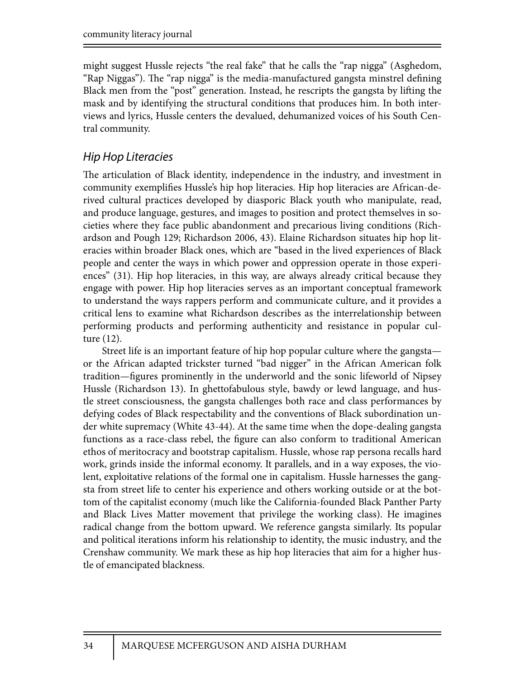might suggest Hussle rejects "the real fake" that he calls the "rap nigga" (Asghedom, "Rap Niggas"). The "rap nigga" is the media-manufactured gangsta minstrel defining Black men from the "post" generation. Instead, he rescripts the gangsta by lifting the mask and by identifying the structural conditions that produces him. In both interviews and lyrics, Hussle centers the devalued, dehumanized voices of his South Central community.

#### *Hip Hop Literacies*

The articulation of Black identity, independence in the industry, and investment in community exemplifies Hussle's hip hop literacies. Hip hop literacies are African-derived cultural practices developed by diasporic Black youth who manipulate, read, and produce language, gestures, and images to position and protect themselves in societies where they face public abandonment and precarious living conditions (Richardson and Pough 129; Richardson 2006, 43). Elaine Richardson situates hip hop literacies within broader Black ones, which are "based in the lived experiences of Black people and center the ways in which power and oppression operate in those experiences" (31). Hip hop literacies, in this way, are always already critical because they engage with power. Hip hop literacies serves as an important conceptual framework to understand the ways rappers perform and communicate culture, and it provides a critical lens to examine what Richardson describes as the interrelationship between performing products and performing authenticity and resistance in popular culture (12).

Street life is an important feature of hip hop popular culture where the gangsta or the African adapted trickster turned "bad nigger" in the African American folk tradition—figures prominently in the underworld and the sonic lifeworld of Nipsey Hussle (Richardson 13). In ghettofabulous style, bawdy or lewd language, and hustle street consciousness, the gangsta challenges both race and class performances by defying codes of Black respectability and the conventions of Black subordination under white supremacy (White 43-44). At the same time when the dope-dealing gangsta functions as a race-class rebel, the figure can also conform to traditional American ethos of meritocracy and bootstrap capitalism. Hussle, whose rap persona recalls hard work, grinds inside the informal economy. It parallels, and in a way exposes, the violent, exploitative relations of the formal one in capitalism. Hussle harnesses the gangsta from street life to center his experience and others working outside or at the bottom of the capitalist economy (much like the California-founded Black Panther Party and Black Lives Matter movement that privilege the working class). He imagines radical change from the bottom upward. We reference gangsta similarly. Its popular and political iterations inform his relationship to identity, the music industry, and the Crenshaw community. We mark these as hip hop literacies that aim for a higher hustle of emancipated blackness.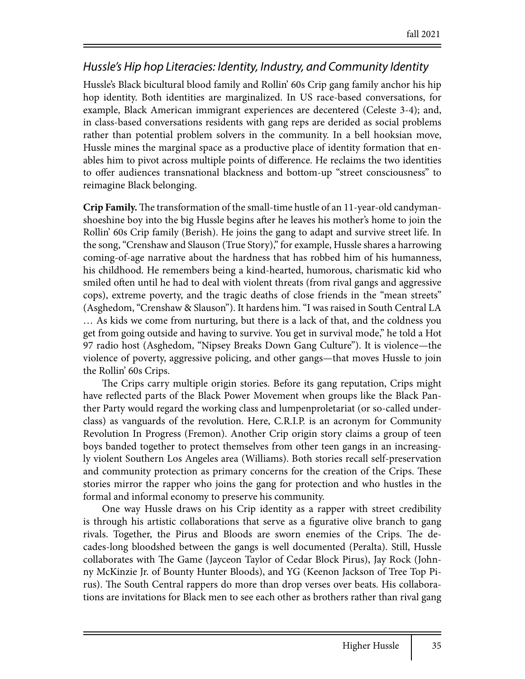#### *Hussle's Hip hop Literacies: Identity, Industry, and Community Identity*

Hussle's Black bicultural blood family and Rollin' 60s Crip gang family anchor his hip hop identity. Both identities are marginalized. In US race-based conversations, for example, Black American immigrant experiences are decentered (Celeste 3-4); and, in class-based conversations residents with gang reps are derided as social problems rather than potential problem solvers in the community. In a bell hooksian move, Hussle mines the marginal space as a productive place of identity formation that enables him to pivot across multiple points of difference. He reclaims the two identities to offer audiences transnational blackness and bottom-up "street consciousness" to reimagine Black belonging.

**Crip Family.** The transformation of the small-time hustle of an 11-year-old candymanshoeshine boy into the big Hussle begins after he leaves his mother's home to join the Rollin' 60s Crip family (Berish). He joins the gang to adapt and survive street life. In the song, "Crenshaw and Slauson (True Story)," for example, Hussle shares a harrowing coming-of-age narrative about the hardness that has robbed him of his humanness, his childhood. He remembers being a kind-hearted, humorous, charismatic kid who smiled often until he had to deal with violent threats (from rival gangs and aggressive cops), extreme poverty, and the tragic deaths of close friends in the "mean streets" (Asghedom, "Crenshaw & Slauson"). It hardens him. "I was raised in South Central LA … As kids we come from nurturing, but there is a lack of that, and the coldness you get from going outside and having to survive. You get in survival mode," he told a Hot 97 radio host (Asghedom, "Nipsey Breaks Down Gang Culture"). It is violence—the violence of poverty, aggressive policing, and other gangs—that moves Hussle to join the Rollin' 60s Crips.

The Crips carry multiple origin stories. Before its gang reputation, Crips might have reflected parts of the Black Power Movement when groups like the Black Panther Party would regard the working class and lumpenproletariat (or so-called underclass) as vanguards of the revolution. Here, C.R.I.P. is an acronym for Community Revolution In Progress (Fremon). Another Crip origin story claims a group of teen boys banded together to protect themselves from other teen gangs in an increasingly violent Southern Los Angeles area (Williams). Both stories recall self-preservation and community protection as primary concerns for the creation of the Crips. These stories mirror the rapper who joins the gang for protection and who hustles in the formal and informal economy to preserve his community.

One way Hussle draws on his Crip identity as a rapper with street credibility is through his artistic collaborations that serve as a figurative olive branch to gang rivals. Together, the Pirus and Bloods are sworn enemies of the Crips. The decades-long bloodshed between the gangs is well documented (Peralta). Still, Hussle collaborates with The Game (Jayceon Taylor of Cedar Block Pirus), Jay Rock (Johnny McKinzie Jr. of Bounty Hunter Bloods), and YG (Keenon Jackson of Tree Top Pirus). The South Central rappers do more than drop verses over beats. His collaborations are invitations for Black men to see each other as brothers rather than rival gang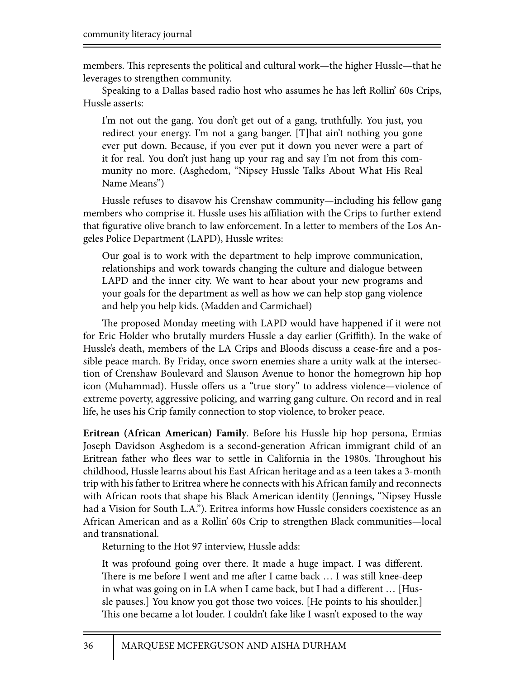members. This represents the political and cultural work—the higher Hussle—that he leverages to strengthen community.

Speaking to a Dallas based radio host who assumes he has left Rollin' 60s Crips, Hussle asserts:

I'm not out the gang. You don't get out of a gang, truthfully. You just, you redirect your energy. I'm not a gang banger. [T]hat ain't nothing you gone ever put down. Because, if you ever put it down you never were a part of it for real. You don't just hang up your rag and say I'm not from this community no more. (Asghedom, "Nipsey Hussle Talks About What His Real Name Means")

Hussle refuses to disavow his Crenshaw community—including his fellow gang members who comprise it. Hussle uses his affiliation with the Crips to further extend that figurative olive branch to law enforcement. In a letter to members of the Los Angeles Police Department (LAPD), Hussle writes:

Our goal is to work with the department to help improve communication, relationships and work towards changing the culture and dialogue between LAPD and the inner city. We want to hear about your new programs and your goals for the department as well as how we can help stop gang violence and help you help kids. (Madden and Carmichael)

The proposed Monday meeting with LAPD would have happened if it were not for Eric Holder who brutally murders Hussle a day earlier (Griffith). In the wake of Hussle's death, members of the LA Crips and Bloods discuss a cease-fire and a possible peace march. By Friday, once sworn enemies share a unity walk at the intersection of Crenshaw Boulevard and Slauson Avenue to honor the homegrown hip hop icon (Muhammad). Hussle offers us a "true story" to address violence—violence of extreme poverty, aggressive policing, and warring gang culture. On record and in real life, he uses his Crip family connection to stop violence, to broker peace.

**Eritrean (African American) Family**. Before his Hussle hip hop persona, Ermias Joseph Davidson Asghedom is a second-generation African immigrant child of an Eritrean father who flees war to settle in California in the 1980s. Throughout his childhood, Hussle learns about his East African heritage and as a teen takes a 3-month trip with his father to Eritrea where he connects with his African family and reconnects with African roots that shape his Black American identity (Jennings, "Nipsey Hussle had a Vision for South L.A."). Eritrea informs how Hussle considers coexistence as an African American and as a Rollin' 60s Crip to strengthen Black communities—local and transnational.

Returning to the Hot 97 interview, Hussle adds:

It was profound going over there. It made a huge impact. I was different. There is me before I went and me after I came back ... I was still knee-deep in what was going on in LA when I came back, but I had a different ... [Hussle pauses.] You know you got those two voices. [He points to his shoulder.] This one became a lot louder. I couldn't fake like I wasn't exposed to the way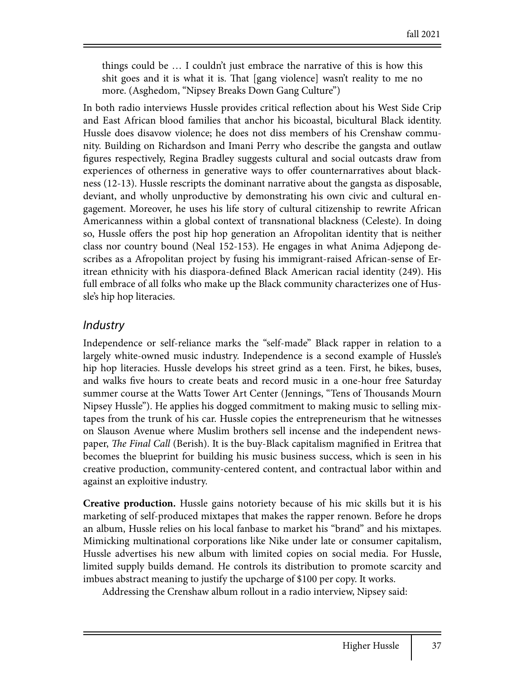things could be … I couldn't just embrace the narrative of this is how this shit goes and it is what it is. That [gang violence] wasn't reality to me no more. (Asghedom, "Nipsey Breaks Down Gang Culture")

In both radio interviews Hussle provides critical reflection about his West Side Crip and East African blood families that anchor his bicoastal, bicultural Black identity. Hussle does disavow violence; he does not diss members of his Crenshaw community. Building on Richardson and Imani Perry who describe the gangsta and outlaw figures respectively, Regina Bradley suggests cultural and social outcasts draw from experiences of otherness in generative ways to offer counternarratives about blackness (12-13). Hussle rescripts the dominant narrative about the gangsta as disposable, deviant, and wholly unproductive by demonstrating his own civic and cultural engagement. Moreover, he uses his life story of cultural citizenship to rewrite African Americanness within a global context of transnational blackness (Celeste). In doing so, Hussle offers the post hip hop generation an Afropolitan identity that is neither class nor country bound (Neal 152-153). He engages in what Anima Adjepong describes as a Afropolitan project by fusing his immigrant-raised African-sense of Eritrean ethnicity with his diaspora-defined Black American racial identity (249). His full embrace of all folks who make up the Black community characterizes one of Hussle's hip hop literacies.

#### *Industry*

Independence or self-reliance marks the "self-made" Black rapper in relation to a largely white-owned music industry. Independence is a second example of Hussle's hip hop literacies. Hussle develops his street grind as a teen. First, he bikes, buses, and walks five hours to create beats and record music in a one-hour free Saturday summer course at the Watts Tower Art Center (Jennings, "Tens of Thousands Mourn Nipsey Hussle"). He applies his dogged commitment to making music to selling mixtapes from the trunk of his car. Hussle copies the entrepreneurism that he witnesses on Slauson Avenue where Muslim brothers sell incense and the independent newspaper, *The Final Call* (Berish). It is the buy-Black capitalism magnified in Eritrea that becomes the blueprint for building his music business success, which is seen in his creative production, community-centered content, and contractual labor within and against an exploitive industry.

**Creative production.** Hussle gains notoriety because of his mic skills but it is his marketing of self-produced mixtapes that makes the rapper renown. Before he drops an album, Hussle relies on his local fanbase to market his "brand" and his mixtapes. Mimicking multinational corporations like Nike under late or consumer capitalism, Hussle advertises his new album with limited copies on social media. For Hussle, limited supply builds demand. He controls its distribution to promote scarcity and imbues abstract meaning to justify the upcharge of \$100 per copy. It works.

Addressing the Crenshaw album rollout in a radio interview, Nipsey said: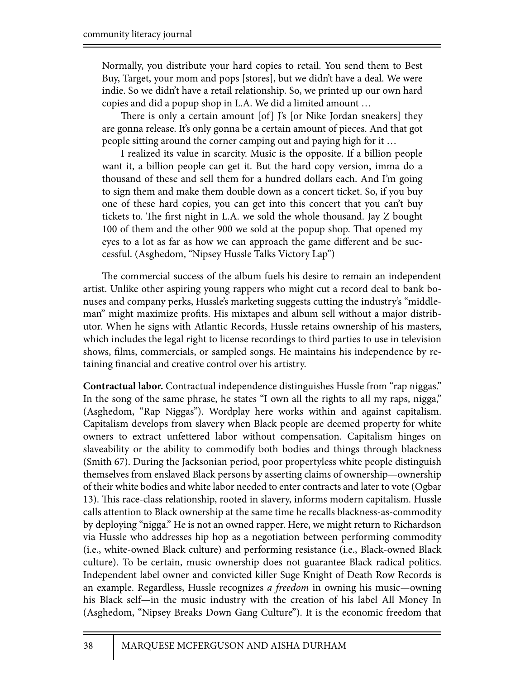Normally, you distribute your hard copies to retail. You send them to Best Buy, Target, your mom and pops [stores], but we didn't have a deal. We were indie. So we didn't have a retail relationship. So, we printed up our own hard copies and did a popup shop in L.A. We did a limited amount …

There is only a certain amount  $[of]$  J's  $[or$  Nike Jordan sneakers $]$  they are gonna release. It's only gonna be a certain amount of pieces. And that got people sitting around the corner camping out and paying high for it …

I realized its value in scarcity. Music is the opposite. If a billion people want it, a billion people can get it. But the hard copy version, imma do a thousand of these and sell them for a hundred dollars each. And I'm going to sign them and make them double down as a concert ticket. So, if you buy one of these hard copies, you can get into this concert that you can't buy tickets to. The first night in L.A. we sold the whole thousand. Jay Z bought 100 of them and the other 900 we sold at the popup shop. That opened my eyes to a lot as far as how we can approach the game different and be successful. (Asghedom, "Nipsey Hussle Talks Victory Lap")

The commercial success of the album fuels his desire to remain an independent artist. Unlike other aspiring young rappers who might cut a record deal to bank bonuses and company perks, Hussle's marketing suggests cutting the industry's "middleman" might maximize profits. His mixtapes and album sell without a major distributor. When he signs with Atlantic Records, Hussle retains ownership of his masters, which includes the legal right to license recordings to third parties to use in television shows, films, commercials, or sampled songs. He maintains his independence by retaining financial and creative control over his artistry.

**Contractual labor.** Contractual independence distinguishes Hussle from "rap niggas." In the song of the same phrase, he states "I own all the rights to all my raps, nigga," (Asghedom, "Rap Niggas"). Wordplay here works within and against capitalism. Capitalism develops from slavery when Black people are deemed property for white owners to extract unfettered labor without compensation. Capitalism hinges on slaveability or the ability to commodify both bodies and things through blackness (Smith 67). During the Jacksonian period, poor propertyless white people distinguish themselves from enslaved Black persons by asserting claims of ownership—ownership of their white bodies and white labor needed to enter contracts and later to vote (Ogbar 13). This race-class relationship, rooted in slavery, informs modern capitalism. Hussle calls attention to Black ownership at the same time he recalls blackness-as-commodity by deploying "nigga." He is not an owned rapper. Here, we might return to Richardson via Hussle who addresses hip hop as a negotiation between performing commodity (i.e., white-owned Black culture) and performing resistance (i.e., Black-owned Black culture). To be certain, music ownership does not guarantee Black radical politics. Independent label owner and convicted killer Suge Knight of Death Row Records is an example. Regardless, Hussle recognizes *a freedom* in owning his music—owning his Black self—in the music industry with the creation of his label All Money In (Asghedom, "Nipsey Breaks Down Gang Culture"). It is the economic freedom that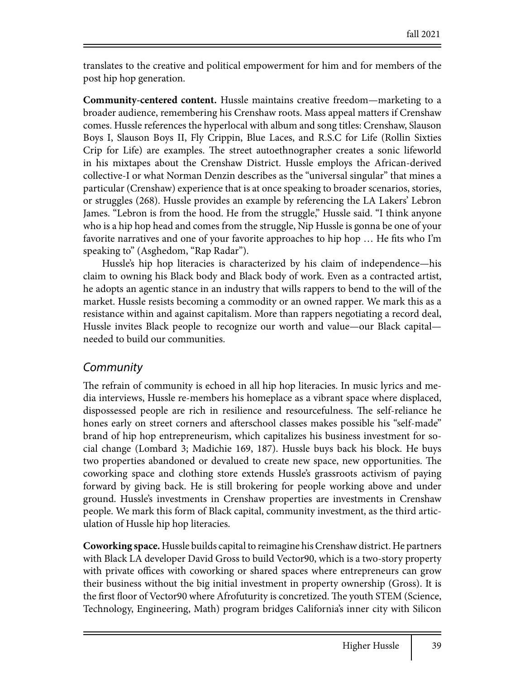translates to the creative and political empowerment for him and for members of the post hip hop generation.

**Community-centered content.** Hussle maintains creative freedom—marketing to a broader audience, remembering his Crenshaw roots. Mass appeal matters if Crenshaw comes. Hussle references the hyperlocal with album and song titles: Crenshaw, Slauson Boys I, Slauson Boys II, Fly Crippin, Blue Laces, and R.S.C for Life (Rollin Sixties Crip for Life) are examples. The street autoethnographer creates a sonic lifeworld in his mixtapes about the Crenshaw District. Hussle employs the African-derived collective-I or what Norman Denzin describes as the "universal singular" that mines a particular (Crenshaw) experience that is at once speaking to broader scenarios, stories, or struggles (268). Hussle provides an example by referencing the LA Lakers' Lebron James. "Lebron is from the hood. He from the struggle," Hussle said. "I think anyone who is a hip hop head and comes from the struggle, Nip Hussle is gonna be one of your favorite narratives and one of your favorite approaches to hip hop  $\dots$  He fits who I'm speaking to" (Asghedom, "Rap Radar").

Hussle's hip hop literacies is characterized by his claim of independence—his claim to owning his Black body and Black body of work. Even as a contracted artist, he adopts an agentic stance in an industry that wills rappers to bend to the will of the market. Hussle resists becoming a commodity or an owned rapper. We mark this as a resistance within and against capitalism. More than rappers negotiating a record deal, Hussle invites Black people to recognize our worth and value—our Black capital needed to build our communities.

#### *Community*

The refrain of community is echoed in all hip hop literacies. In music lyrics and media interviews, Hussle re-members his homeplace as a vibrant space where displaced, dispossessed people are rich in resilience and resourcefulness. The self-reliance he hones early on street corners and afterschool classes makes possible his "self-made" brand of hip hop entrepreneurism, which capitalizes his business investment for social change (Lombard 3; Madichie 169, 187). Hussle buys back his block. He buys two properties abandoned or devalued to create new space, new opportunities. The coworking space and clothing store extends Hussle's grassroots activism of paying forward by giving back. He is still brokering for people working above and under ground. Hussle's investments in Crenshaw properties are investments in Crenshaw people. We mark this form of Black capital, community investment, as the third articulation of Hussle hip hop literacies.

**Coworking space.** Hussle builds capital to reimagine his Crenshaw district. He partners with Black LA developer David Gross to build Vector90, which is a two-story property with private offices with coworking or shared spaces where entrepreneurs can grow their business without the big initial investment in property ownership (Gross). It is the first floor of Vector90 where Afrofuturity is concretized. The youth STEM (Science, Technology, Engineering, Math) program bridges California's inner city with Silicon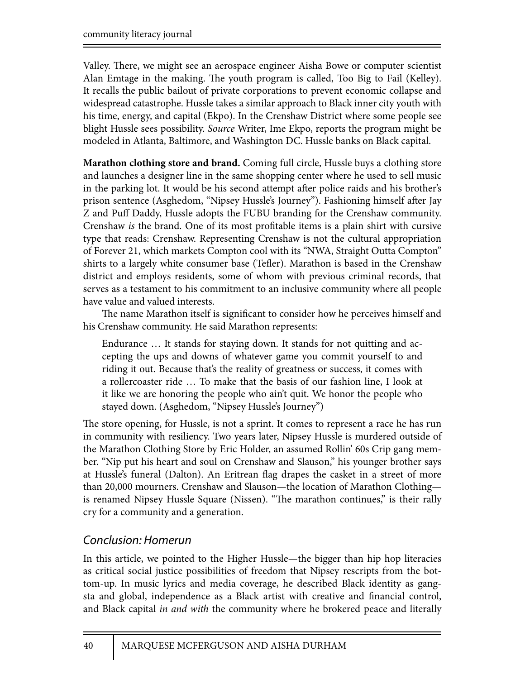Valley. There, we might see an aerospace engineer Aisha Bowe or computer scientist Alan Emtage in the making. The youth program is called, Too Big to Fail (Kelley). It recalls the public bailout of private corporations to prevent economic collapse and widespread catastrophe. Hussle takes a similar approach to Black inner city youth with his time, energy, and capital (Ekpo). In the Crenshaw District where some people see blight Hussle sees possibility. *Source* Writer, Ime Ekpo, reports the program might be modeled in Atlanta, Baltimore, and Washington DC. Hussle banks on Black capital.

**Marathon clothing store and brand.** Coming full circle, Hussle buys a clothing store and launches a designer line in the same shopping center where he used to sell music in the parking lot. It would be his second attempt after police raids and his brother's prison sentence (Asghedom, "Nipsey Hussle's Journey"). Fashioning himself after Jay Z and Puff Daddy, Hussle adopts the FUBU branding for the Crenshaw community. Crenshaw *is* the brand. One of its most profitable items is a plain shirt with cursive type that reads: Crenshaw. Representing Crenshaw is not the cultural appropriation of Forever 21, which markets Compton cool with its "NWA, Straight Outta Compton" shirts to a largely white consumer base (Tefler). Marathon is based in the Crenshaw district and employs residents, some of whom with previous criminal records, that serves as a testament to his commitment to an inclusive community where all people have value and valued interests.

The name Marathon itself is significant to consider how he perceives himself and his Crenshaw community. He said Marathon represents:

Endurance … It stands for staying down. It stands for not quitting and accepting the ups and downs of whatever game you commit yourself to and riding it out. Because that's the reality of greatness or success, it comes with a rollercoaster ride … To make that the basis of our fashion line, I look at it like we are honoring the people who ain't quit. We honor the people who stayed down. (Asghedom, "Nipsey Hussle's Journey")

The store opening, for Hussle, is not a sprint. It comes to represent a race he has run in community with resiliency. Two years later, Nipsey Hussle is murdered outside of the Marathon Clothing Store by Eric Holder, an assumed Rollin' 60s Crip gang member. "Nip put his heart and soul on Crenshaw and Slauson," his younger brother says at Hussle's funeral (Dalton). An Eritrean flag drapes the casket in a street of more than 20,000 mourners. Crenshaw and Slauson—the location of Marathon Clothing is renamed Nipsey Hussle Square (Nissen). "The marathon continues," is their rally cry for a community and a generation.

### *Conclusion: Homerun*

In this article, we pointed to the Higher Hussle—the bigger than hip hop literacies as critical social justice possibilities of freedom that Nipsey rescripts from the bottom-up. In music lyrics and media coverage, he described Black identity as gangsta and global, independence as a Black artist with creative and financial control, and Black capital *in and with* the community where he brokered peace and literally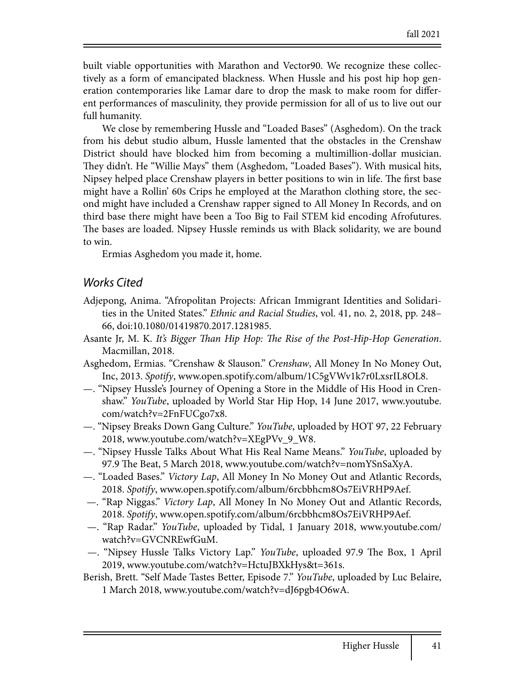built viable opportunities with Marathon and Vector90. We recognize these collectively as a form of emancipated blackness. When Hussle and his post hip hop generation contemporaries like Lamar dare to drop the mask to make room for different performances of masculinity, they provide permission for all of us to live out our full humanity.

We close by remembering Hussle and "Loaded Bases" (Asghedom). On the track from his debut studio album, Hussle lamented that the obstacles in the Crenshaw District should have blocked him from becoming a multimillion-dollar musician. They didn't. He "Willie Mays" them (Asghedom, "Loaded Bases"). With musical hits, Nipsey helped place Crenshaw players in better positions to win in life. The first base might have a Rollin' 60s Crips he employed at the Marathon clothing store, the second might have included a Crenshaw rapper signed to All Money In Records, and on third base there might have been a Too Big to Fail STEM kid encoding Afrofutures. The bases are loaded. Nipsey Hussle reminds us with Black solidarity, we are bound to win.

Ermias Asghedom you made it, home.

#### *Works Cited*

- Adjepong, Anima. "Afropolitan Projects: African Immigrant Identities and Solidarities in the United States." *Ethnic and Racial Studies*, vol. 41, no. 2, 2018, pp. 248– 66, doi:10.1080/01419870.2017.1281985.
- Asante Jr, M. K. *It's Bigger* !*an Hip Hop:* !*e Rise of the Post-Hip-Hop Generation*. Macmillan, 2018.
- Asghedom, Ermias. "Crenshaw & Slauson." *Crenshaw*, All Money In No Money Out, Inc, 2013. *Spotify*, www.open.spotify.com/album/1C5gVWv1k7r0LxsrIL8OL8.
- —. "Nipsey Hussle's Journey of Opening a Store in the Middle of His Hood in Crenshaw." *YouTube*, uploaded by World Star Hip Hop, 14 June 2017, www.youtube. com/watch?v=2FnFUCgo7x8.
- —. "Nipsey Breaks Down Gang Culture." *YouTube*, uploaded by HOT 97, 22 February 2018, www.youtube.com/watch?v=XEgPVv\_9\_W8.
- —. "Nipsey Hussle Talks About What His Real Name Means." *YouTube*, uploaded by 97.9 The Beat, 5 March 2018, www.youtube.com/watch?v=nomYSnSaXyA.
- —. "Loaded Bases." *Victory Lap*, All Money In No Money Out and Atlantic Records, 2018. *Spotify*, www.open.spotify.com/album/6rcbbhcm8Os7EiVRHP9Aef.
- —. "Rap Niggas." *Victory Lap*, All Money In No Money Out and Atlantic Records, 2018. *Spotify*, www.open.spotify.com/album/6rcbbhcm8Os7EiVRHP9Aef.
- —. "Rap Radar." *YouTube*, uploaded by Tidal, 1 January 2018, www.youtube.com/ watch?v=GVCNREwfGuM.
- —. "Nipsey Hussle Talks Victory Lap." *YouTube*, uploaded 97.9 The Box, 1 April 2019, www.youtube.com/watch?v=HctuJBXkHys&t=361s.
- Berish, Brett. "Self Made Tastes Better, Episode 7." *YouTube*, uploaded by Luc Belaire, 1 March 2018, www.youtube.com/watch?v=dJ6pgb4O6wA.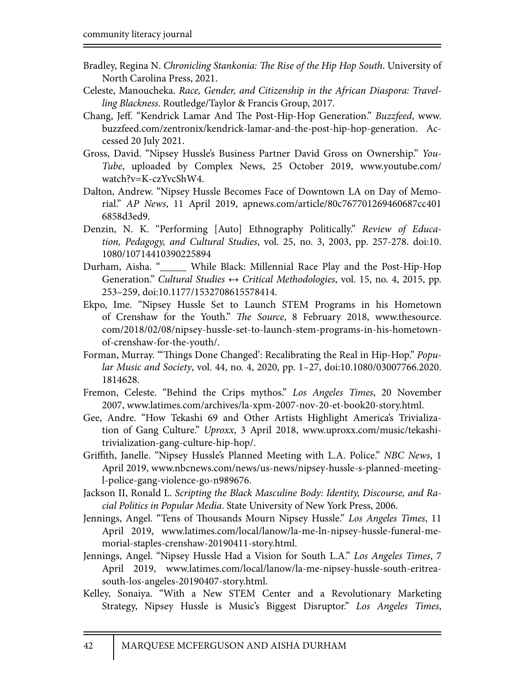- Bradley, Regina N. *Chronicling Stankonia:* !*e Rise of the Hip Hop South*. University of North Carolina Press, 2021.
- Celeste, Manoucheka. *Race, Gender, and Citizenship in the African Diaspora: Travelling Blackness*. Routledge/Taylor & Francis Group, 2017.
- Chang, Jeff. "Kendrick Lamar And The Post-Hip-Hop Generation." *Buzzfeed*, www. buzzfeed.com/zentronix/kendrick-lamar-and-the-post-hip-hop-generation. Accessed 20 July 2021.
- Gross, David. "Nipsey Hussle's Business Partner David Gross on Ownership." *You-Tube*, uploaded by Complex News, 25 October 2019, www.youtube.com/ watch?v=K-czYvcShW4.
- Dalton, Andrew. "Nipsey Hussle Becomes Face of Downtown LA on Day of Memorial." *AP News*, 11 April 2019, apnews.com/article/80c767701269460687cc401 6858d3ed9.
- Denzin, N. K. "Performing [Auto] Ethnography Politically." *Review of Education, Pedagogy, and Cultural Studies*, vol. 25, no. 3, 2003, pp. 257-278. doi:10. 1080/10714410390225894
- Durham, Aisha. "\_\_\_\_\_ While Black: Millennial Race Play and the Post-Hip-Hop Generation." *Cultural Studies ↔ Critical Methodologies*, vol. 15, no. 4, 2015, pp. 253–259, doi:10.1177/1532708615578414.
- Ekpo, Ime. "Nipsey Hussle Set to Launch STEM Programs in his Hometown of Crenshaw for the Youth." *The Source*, 8 February 2018, www.thesource. com/2018/02/08/nipsey-hussle-set-to-launch-stem-programs-in-his-hometownof-crenshaw-for-the-youth/.
- Forman, Murray. "Things Done Changed': Recalibrating the Real in Hip-Hop." *Popular Music and Society*, vol. 44, no. 4, 2020, pp. 1–27, doi:10.1080/03007766.2020. 1814628.
- Fremon, Celeste. "Behind the Crips mythos." *Los Angeles Times*, 20 November 2007, www.latimes.com/archives/la-xpm-2007-nov-20-et-book20-story.html.
- Gee, Andre. "How Tekashi 69 and Other Artists Highlight America's Trivialization of Gang Culture." *Uproxx*, 3 April 2018, www.uproxx.com/music/tekashitrivialization-gang-culture-hip-hop/.
- Gri%th, Janelle. "Nipsey Hussle's Planned Meeting with L.A. Police." *NBC News*, 1 April 2019, www.nbcnews.com/news/us-news/nipsey-hussle-s-planned-meetingl-police-gang-violence-go-n989676.
- Jackson II, Ronald L. *Scripting the Black Masculine Body: Identity, Discourse, and Racial Politics in Popular Media*. State University of New York Press, 2006.
- Jennings, Angel. "Tens of Thousands Mourn Nipsey Hussle." Los Angeles Times, 11 April 2019, www.latimes.com/local/lanow/la-me-ln-nipsey-hussle-funeral-memorial-staples-crenshaw-20190411-story.html.
- Jennings, Angel. "Nipsey Hussle Had a Vision for South L.A." *Los Angeles Times*, 7 April 2019, www.latimes.com/local/lanow/la-me-nipsey-hussle-south-eritreasouth-los-angeles-20190407-story.html.
- Kelley, Sonaiya. "With a New STEM Center and a Revolutionary Marketing Strategy, Nipsey Hussle is Music's Biggest Disruptor." *Los Angeles Times*,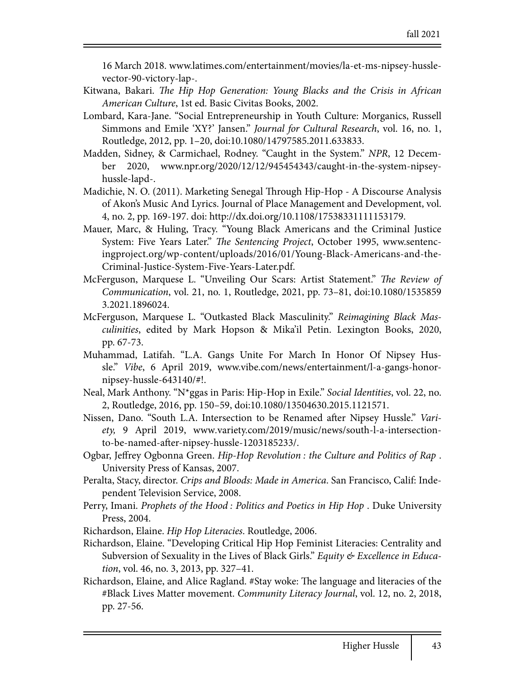16 March 2018. www.latimes.com/entertainment/movies/la-et-ms-nipsey-husslevector-90-victory-lap-.

- Kitwana, Bakari. *The Hip Hop Generation: Young Blacks and the Crisis in African American Culture*, 1st ed. Basic Civitas Books, 2002.
- Lombard, Kara-Jane. "Social Entrepreneurship in Youth Culture: Morganics, Russell Simmons and Emile 'XY?' Jansen." *Journal for Cultural Research*, vol. 16, no. 1, Routledge, 2012, pp. 1–20, doi:10.1080/14797585.2011.633833.
- Madden, Sidney, & Carmichael, Rodney. "Caught in the System." *NPR*, 12 December 2020, www.npr.org/2020/12/12/945454343/caught-in-the-system-nipseyhussle-lapd-.
- Madichie, N. O. (2011). Marketing Senegal Through Hip-Hop A Discourse Analysis of Akon's Music And Lyrics. Journal of Place Management and Development, vol. 4, no. 2, pp. 169-197. doi: http://dx.doi.org/10.1108/17538331111153179.
- Mauer, Marc, & Huling, Tracy. "Young Black Americans and the Criminal Justice System: Five Years Later." *The Sentencing Project*, October 1995, www.sentencingproject.org/wp-content/uploads/2016/01/Young-Black-Americans-and-the-Criminal-Justice-System-Five-Years-Later.pdf.
- McFerguson, Marquese L. "Unveiling Our Scars: Artist Statement." *The Review of Communication*, vol. 21, no. 1, Routledge, 2021, pp. 73–81, doi:10.1080/1535859 3.2021.1896024.
- McFerguson, Marquese L. "Outkasted Black Masculinity." *Reimagining Black Masculinities*, edited by Mark Hopson & Mika'il Petin. Lexington Books, 2020, pp. 67-73.
- Muhammad, Latifah. "L.A. Gangs Unite For March In Honor Of Nipsey Hussle." *Vibe*, 6 April 2019, www.vibe.com/news/entertainment/l-a-gangs-honornipsey-hussle-643140/#!.
- Neal, Mark Anthony. "N\*ggas in Paris: Hip-Hop in Exile." *Social Identities*, vol. 22, no. 2, Routledge, 2016, pp. 150–59, doi:10.1080/13504630.2015.1121571.
- Nissen, Dano. "South L.A. Intersection to be Renamed after Nipsey Hussle." *Variety,* 9 April 2019, www*.*variety.com/2019/music/news/south-l-a-intersectionto-be-named-after-nipsey-hussle-1203185233/.
- Ogbar, Jeffrey Ogbonna Green. *Hip-Hop Revolution : the Culture and Politics of Rap*. University Press of Kansas, 2007.
- Peralta, Stacy, director. *Crips and Bloods: Made in America*. San Francisco, Calif: Independent Television Service, 2008.
- Perry, Imani. *Prophets of the Hood : Politics and Poetics in Hip Hop* . Duke University Press, 2004.
- Richardson, Elaine. *Hip Hop Literacies*. Routledge, 2006.
- Richardson, Elaine. "Developing Critical Hip Hop Feminist Literacies: Centrality and Subversion of Sexuality in the Lives of Black Girls." *Equity & Excellence in Education*, vol. 46, no. 3, 2013, pp. 327–41.
- Richardson, Elaine, and Alice Ragland. #Stay woke: The language and literacies of the #Black Lives Matter movement. *Community Literacy Journal*, vol. 12, no. 2, 2018, pp. 27-56.